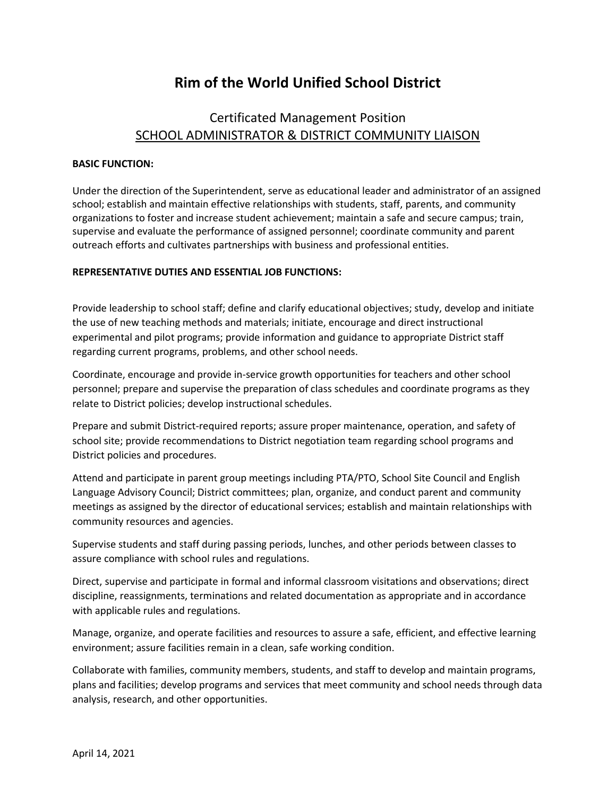# **Rim of the World Unified School District**

# Certificated Management Position SCHOOL ADMINISTRATOR & DISTRICT COMMUNITY LIAISON

# **BASIC FUNCTION:**

Under the direction of the Superintendent, serve as educational leader and administrator of an assigned school; establish and maintain effective relationships with students, staff, parents, and community organizations to foster and increase student achievement; maintain a safe and secure campus; train, supervise and evaluate the performance of assigned personnel; coordinate community and parent outreach efforts and cultivates partnerships with business and professional entities.

# **REPRESENTATIVE DUTIES AND ESSENTIAL JOB FUNCTIONS:**

Provide leadership to school staff; define and clarify educational objectives; study, develop and initiate the use of new teaching methods and materials; initiate, encourage and direct instructional experimental and pilot programs; provide information and guidance to appropriate District staff regarding current programs, problems, and other school needs.

Coordinate, encourage and provide in-service growth opportunities for teachers and other school personnel; prepare and supervise the preparation of class schedules and coordinate programs as they relate to District policies; develop instructional schedules.

Prepare and submit District-required reports; assure proper maintenance, operation, and safety of school site; provide recommendations to District negotiation team regarding school programs and District policies and procedures.

Attend and participate in parent group meetings including PTA/PTO, School Site Council and English Language Advisory Council; District committees; plan, organize, and conduct parent and community meetings as assigned by the director of educational services; establish and maintain relationships with community resources and agencies.

Supervise students and staff during passing periods, lunches, and other periods between classes to assure compliance with school rules and regulations.

Direct, supervise and participate in formal and informal classroom visitations and observations; direct discipline, reassignments, terminations and related documentation as appropriate and in accordance with applicable rules and regulations.

Manage, organize, and operate facilities and resources to assure a safe, efficient, and effective learning environment; assure facilities remain in a clean, safe working condition.

Collaborate with families, community members, students, and staff to develop and maintain programs, plans and facilities; develop programs and services that meet community and school needs through data analysis, research, and other opportunities.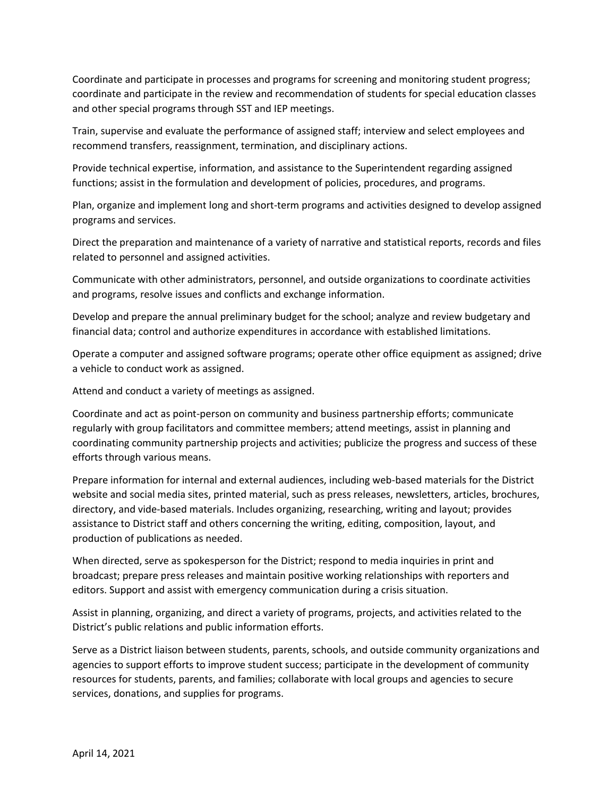Coordinate and participate in processes and programs for screening and monitoring student progress; coordinate and participate in the review and recommendation of students for special education classes and other special programs through SST and IEP meetings.

Train, supervise and evaluate the performance of assigned staff; interview and select employees and recommend transfers, reassignment, termination, and disciplinary actions.

Provide technical expertise, information, and assistance to the Superintendent regarding assigned functions; assist in the formulation and development of policies, procedures, and programs.

Plan, organize and implement long and short-term programs and activities designed to develop assigned programs and services.

Direct the preparation and maintenance of a variety of narrative and statistical reports, records and files related to personnel and assigned activities.

Communicate with other administrators, personnel, and outside organizations to coordinate activities and programs, resolve issues and conflicts and exchange information.

Develop and prepare the annual preliminary budget for the school; analyze and review budgetary and financial data; control and authorize expenditures in accordance with established limitations.

Operate a computer and assigned software programs; operate other office equipment as assigned; drive a vehicle to conduct work as assigned.

Attend and conduct a variety of meetings as assigned.

Coordinate and act as point-person on community and business partnership efforts; communicate regularly with group facilitators and committee members; attend meetings, assist in planning and coordinating community partnership projects and activities; publicize the progress and success of these efforts through various means.

Prepare information for internal and external audiences, including web-based materials for the District website and social media sites, printed material, such as press releases, newsletters, articles, brochures, directory, and vide-based materials. Includes organizing, researching, writing and layout; provides assistance to District staff and others concerning the writing, editing, composition, layout, and production of publications as needed.

When directed, serve as spokesperson for the District; respond to media inquiries in print and broadcast; prepare press releases and maintain positive working relationships with reporters and editors. Support and assist with emergency communication during a crisis situation.

Assist in planning, organizing, and direct a variety of programs, projects, and activities related to the District's public relations and public information efforts.

Serve as a District liaison between students, parents, schools, and outside community organizations and agencies to support efforts to improve student success; participate in the development of community resources for students, parents, and families; collaborate with local groups and agencies to secure services, donations, and supplies for programs.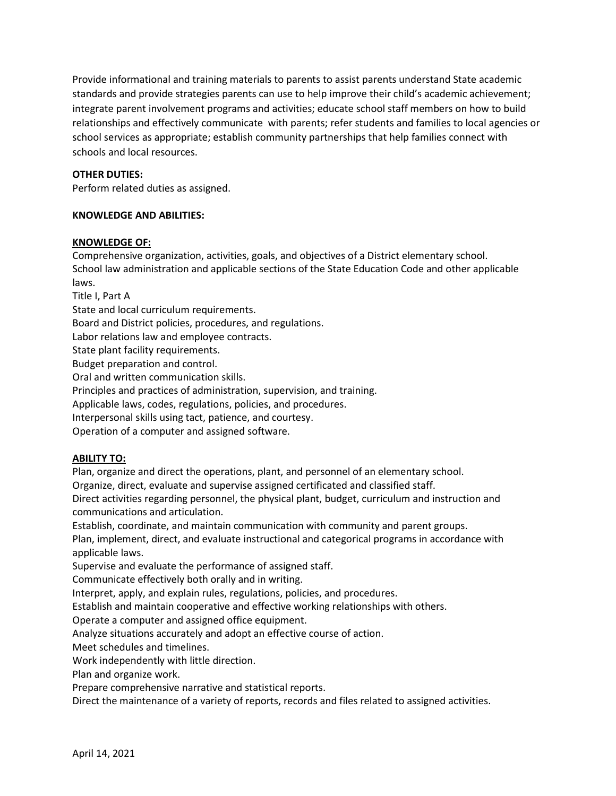Provide informational and training materials to parents to assist parents understand State academic standards and provide strategies parents can use to help improve their child's academic achievement; integrate parent involvement programs and activities; educate school staff members on how to build relationships and effectively communicate with parents; refer students and families to local agencies or school services as appropriate; establish community partnerships that help families connect with schools and local resources.

## **OTHER DUTIES:**

Perform related duties as assigned.

### **KNOWLEDGE AND ABILITIES:**

#### **KNOWLEDGE OF:**

Comprehensive organization, activities, goals, and objectives of a District elementary school. School law administration and applicable sections of the State Education Code and other applicable laws.

Title I, Part A

State and local curriculum requirements.

Board and District policies, procedures, and regulations.

Labor relations law and employee contracts.

State plant facility requirements.

Budget preparation and control.

Oral and written communication skills.

Principles and practices of administration, supervision, and training.

Applicable laws, codes, regulations, policies, and procedures.

Interpersonal skills using tact, patience, and courtesy.

Operation of a computer and assigned software.

# **ABILITY TO:**

Plan, organize and direct the operations, plant, and personnel of an elementary school.

Organize, direct, evaluate and supervise assigned certificated and classified staff.

Direct activities regarding personnel, the physical plant, budget, curriculum and instruction and communications and articulation.

Establish, coordinate, and maintain communication with community and parent groups.

Plan, implement, direct, and evaluate instructional and categorical programs in accordance with applicable laws.

Supervise and evaluate the performance of assigned staff.

Communicate effectively both orally and in writing.

Interpret, apply, and explain rules, regulations, policies, and procedures.

Establish and maintain cooperative and effective working relationships with others.

Operate a computer and assigned office equipment.

Analyze situations accurately and adopt an effective course of action.

Meet schedules and timelines.

Work independently with little direction.

Plan and organize work.

Prepare comprehensive narrative and statistical reports.

Direct the maintenance of a variety of reports, records and files related to assigned activities.